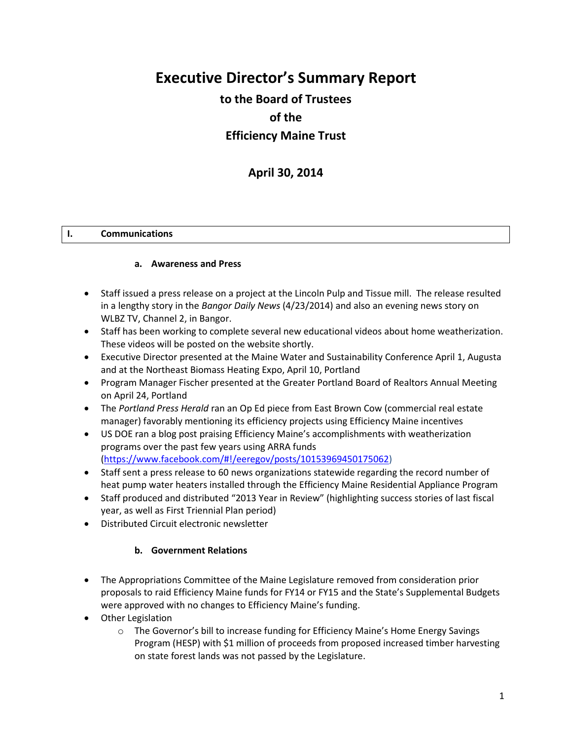# **Executive Director's Summary Report**

## **to the Board of Trustees of the Efficiency Maine Trust**

## **April 30, 2014**

### **I. Communications**

#### **a. Awareness and Press**

- Staff issued a press release on a project at the Lincoln Pulp and Tissue mill. The release resulted in a lengthy story in the *Bangor Daily News* (4/23/2014) and also an evening news story on WLBZ TV, Channel 2, in Bangor.
- Staff has been working to complete several new educational videos about home weatherization. These videos will be posted on the website shortly.
- Executive Director presented at the Maine Water and Sustainability Conference April 1, Augusta and at the Northeast Biomass Heating Expo, April 10, Portland
- Program Manager Fischer presented at the Greater Portland Board of Realtors Annual Meeting on April 24, Portland
- The *Portland Press Herald* ran an Op Ed piece from East Brown Cow (commercial real estate manager) favorably mentioning its efficiency projects using Efficiency Maine incentives
- US DOE ran a blog post praising Efficiency Maine's accomplishments with weatherization programs over the past few years using ARRA funds [\(https://www.facebook.com/#!/eeregov/posts/10153969450175062\)](https://www.facebook.com/#!/eeregov/posts/10153969450175062)
- Staff sent a press release to 60 news organizations statewide regarding the record number of heat pump water heaters installed through the Efficiency Maine Residential Appliance Program
- Staff produced and distributed "2013 Year in Review" (highlighting success stories of last fiscal year, as well as First Triennial Plan period)
- Distributed Circuit electronic newsletter

#### **b. Government Relations**

- The Appropriations Committee of the Maine Legislature removed from consideration prior proposals to raid Efficiency Maine funds for FY14 or FY15 and the State's Supplemental Budgets were approved with no changes to Efficiency Maine's funding.
- Other Legislation
	- $\circ$  The Governor's bill to increase funding for Efficiency Maine's Home Energy Savings Program (HESP) with \$1 million of proceeds from proposed increased timber harvesting on state forest lands was not passed by the Legislature.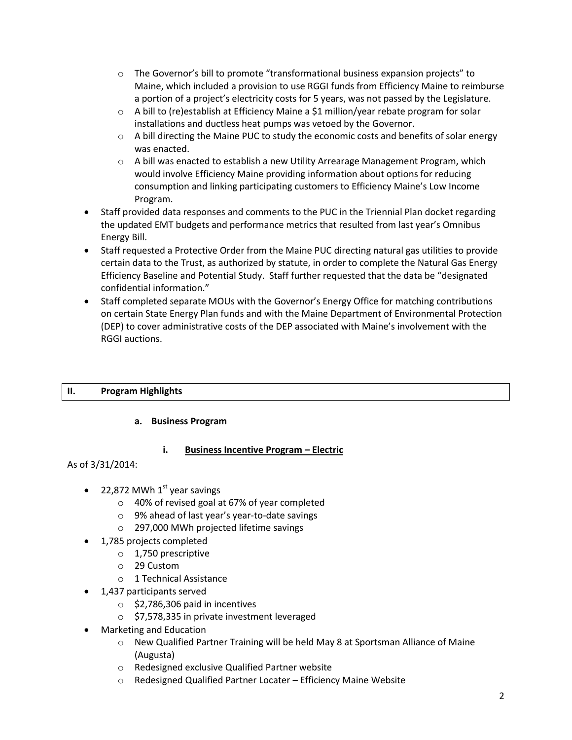- $\circ$  The Governor's bill to promote "transformational business expansion projects" to Maine, which included a provision to use RGGI funds from Efficiency Maine to reimburse a portion of a project's electricity costs for 5 years, was not passed by the Legislature.
- $\circ$  A bill to (re)establish at Efficiency Maine a \$1 million/year rebate program for solar installations and ductless heat pumps was vetoed by the Governor.
- $\circ$  A bill directing the Maine PUC to study the economic costs and benefits of solar energy was enacted.
- $\circ$  A bill was enacted to establish a new Utility Arrearage Management Program, which would involve Efficiency Maine providing information about options for reducing consumption and linking participating customers to Efficiency Maine's Low Income Program.
- Staff provided data responses and comments to the PUC in the Triennial Plan docket regarding the updated EMT budgets and performance metrics that resulted from last year's Omnibus Energy Bill.
- Staff requested a Protective Order from the Maine PUC directing natural gas utilities to provide certain data to the Trust, as authorized by statute, in order to complete the Natural Gas Energy Efficiency Baseline and Potential Study. Staff further requested that the data be "designated confidential information."
- Staff completed separate MOUs with the Governor's Energy Office for matching contributions on certain State Energy Plan funds and with the Maine Department of Environmental Protection (DEP) to cover administrative costs of the DEP associated with Maine's involvement with the RGGI auctions.

## **II. Program Highlights**

## **a. Business Program**

## **i. Business Incentive Program – Electric**

As of 3/31/2014:

- 22,872 MWh  $1<sup>st</sup>$  year savings
	- o 40% of revised goal at 67% of year completed
	- o 9% ahead of last year's year-to-date savings
	- o 297,000 MWh projected lifetime savings
- 1,785 projects completed
	- o 1,750 prescriptive
	- o 29 Custom
	- o 1 Technical Assistance
- 1,437 participants served
	- $\circ$  \$2,786,306 paid in incentives
	- o \$7,578,335 in private investment leveraged
- Marketing and Education
	- $\circ$  New Qualified Partner Training will be held May 8 at Sportsman Alliance of Maine (Augusta)
	- o Redesigned exclusive Qualified Partner website
	- o Redesigned Qualified Partner Locater Efficiency Maine Website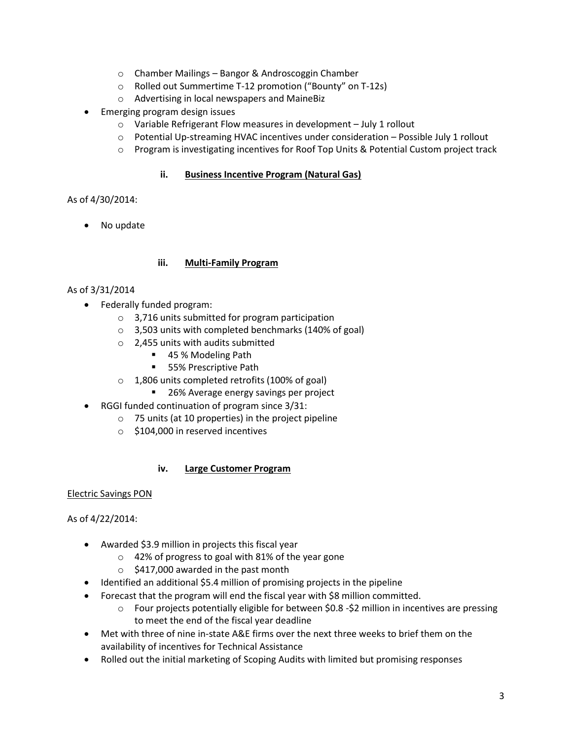- o Chamber Mailings Bangor & Androscoggin Chamber
- o Rolled out Summertime T-12 promotion ("Bounty" on T-12s)
- o Advertising in local newspapers and MaineBiz
- Emerging program design issues
	- o Variable Refrigerant Flow measures in development July 1 rollout
	- o Potential Up-streaming HVAC incentives under consideration Possible July 1 rollout
	- o Program is investigating incentives for Roof Top Units & Potential Custom project track

## **ii. Business Incentive Program (Natural Gas)**

As of 4/30/2014:

No update

## **iii. Multi-Family Program**

## As of 3/31/2014

- Federally funded program:
	- o 3,716 units submitted for program participation
	- o 3,503 units with completed benchmarks (140% of goal)
	- o 2,455 units with audits submitted
		- 45 % Modeling Path
		- 55% Prescriptive Path
	- o 1,806 units completed retrofits (100% of goal)
		- 26% Average energy savings per project
- RGGI funded continuation of program since 3/31:
	- o 75 units (at 10 properties) in the project pipeline
	- o \$104,000 in reserved incentives

## **iv. Large Customer Program**

## Electric Savings PON

## As of 4/22/2014:

- Awarded \$3.9 million in projects this fiscal year
	- o 42% of progress to goal with 81% of the year gone
	- $\circ$  \$417,000 awarded in the past month
- Identified an additional \$5.4 million of promising projects in the pipeline
- Forecast that the program will end the fiscal year with \$8 million committed.
	- o Four projects potentially eligible for between \$0.8 -\$2 million in incentives are pressing to meet the end of the fiscal year deadline
- Met with three of nine in-state A&E firms over the next three weeks to brief them on the availability of incentives for Technical Assistance
- Rolled out the initial marketing of Scoping Audits with limited but promising responses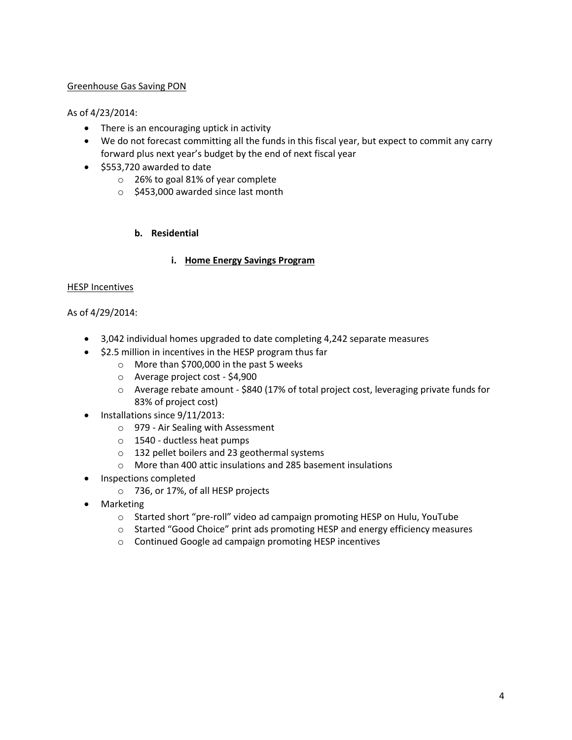### Greenhouse Gas Saving PON

#### As of 4/23/2014:

- There is an encouraging uptick in activity
- We do not forecast committing all the funds in this fiscal year, but expect to commit any carry forward plus next year's budget by the end of next fiscal year
- \$553,720 awarded to date
	- o 26% to goal 81% of year complete
	- o \$453,000 awarded since last month

#### **b. Residential**

#### **i. Home Energy Savings Program**

#### HESP Incentives

#### As of 4/29/2014:

- 3,042 individual homes upgraded to date completing 4,242 separate measures
- \$2.5 million in incentives in the HESP program thus far
	- o More than \$700,000 in the past 5 weeks
		- o Average project cost \$4,900
		- o Average rebate amount \$840 (17% of total project cost, leveraging private funds for 83% of project cost)
- Installations since 9/11/2013:
	- o 979 Air Sealing with Assessment
	- o 1540 ductless heat pumps
	- o 132 pellet boilers and 23 geothermal systems
	- o More than 400 attic insulations and 285 basement insulations
- Inspections completed
	- o 736, or 17%, of all HESP projects
- Marketing
	- o Started short "pre-roll" video ad campaign promoting HESP on Hulu, YouTube
	- o Started "Good Choice" print ads promoting HESP and energy efficiency measures
	- o Continued Google ad campaign promoting HESP incentives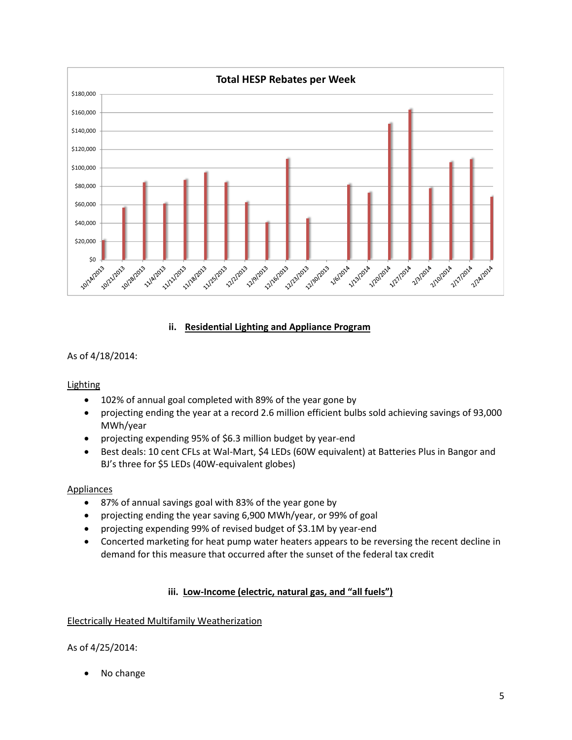

### **ii. Residential Lighting and Appliance Program**

## As of 4/18/2014:

#### **Lighting**

- 102% of annual goal completed with 89% of the year gone by
- projecting ending the year at a record 2.6 million efficient bulbs sold achieving savings of 93,000 MWh/year
- projecting expending 95% of \$6.3 million budget by year-end
- Best deals: 10 cent CFLs at Wal-Mart, \$4 LEDs (60W equivalent) at Batteries Plus in Bangor and BJ's three for \$5 LEDs (40W-equivalent globes)

#### Appliances

- 87% of annual savings goal with 83% of the year gone by
- projecting ending the year saving 6,900 MWh/year, or 99% of goal
- projecting expending 99% of revised budget of \$3.1M by year-end
- Concerted marketing for heat pump water heaters appears to be reversing the recent decline in demand for this measure that occurred after the sunset of the federal tax credit

## **iii. Low-Income (electric, natural gas, and "all fuels")**

## Electrically Heated Multifamily Weatherization

## As of 4/25/2014:

No change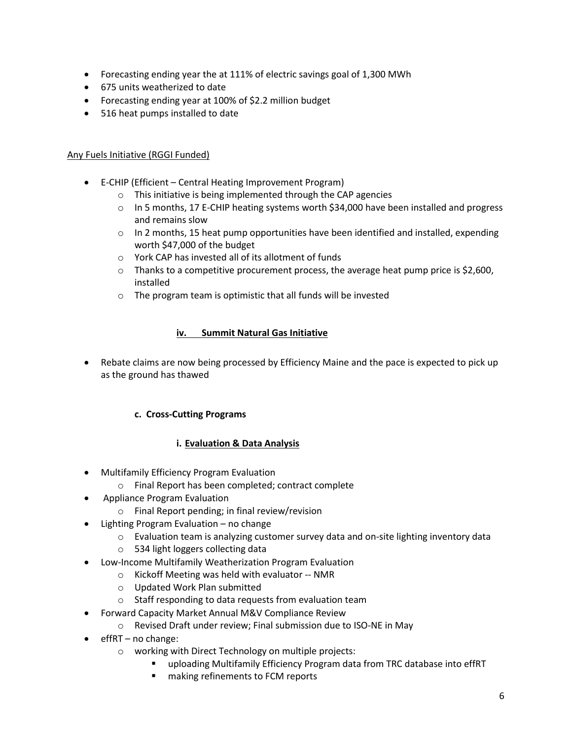- Forecasting ending year the at 111% of electric savings goal of 1,300 MWh
- 675 units weatherized to date
- Forecasting ending year at 100% of \$2.2 million budget
- 516 heat pumps installed to date

### Any Fuels Initiative (RGGI Funded)

- E-CHIP (Efficient Central Heating Improvement Program)
	- o This initiative is being implemented through the CAP agencies
	- $\circ$  In 5 months, 17 E-CHIP heating systems worth \$34,000 have been installed and progress and remains slow
	- $\circ$  In 2 months, 15 heat pump opportunities have been identified and installed, expending worth \$47,000 of the budget
	- o York CAP has invested all of its allotment of funds
	- $\circ$  Thanks to a competitive procurement process, the average heat pump price is \$2,600, installed
	- o The program team is optimistic that all funds will be invested

#### **iv. Summit Natural Gas Initiative**

• Rebate claims are now being processed by Efficiency Maine and the pace is expected to pick up as the ground has thawed

## **c. Cross-Cutting Programs**

#### **i. Evaluation & Data Analysis**

- Multifamily Efficiency Program Evaluation
	- o Final Report has been completed; contract complete
- Appliance Program Evaluation
	- o Final Report pending; in final review/revision
- Lighting Program Evaluation no change
	- $\circ$  Evaluation team is analyzing customer survey data and on-site lighting inventory data
	- o 534 light loggers collecting data
- Low-Income Multifamily Weatherization Program Evaluation
	- o Kickoff Meeting was held with evaluator -- NMR
	- o Updated Work Plan submitted
	- o Staff responding to data requests from evaluation team
- Forward Capacity Market Annual M&V Compliance Review
	- o Revised Draft under review; Final submission due to ISO-NE in May
- $\bullet$  effRT no change:
	- o working with Direct Technology on multiple projects:
		- uploading Multifamily Efficiency Program data from TRC database into effRT
		- **n** making refinements to FCM reports